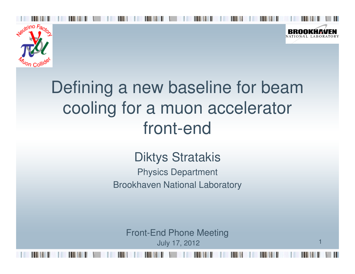



1

# Defining a new baseline for beam cooling for a muon accelerator front-end

#### Diktys Stratakis

 Physics DepartmentBrookhaven National Laboratory

Front-End Phone MeetingJuly 17, 2012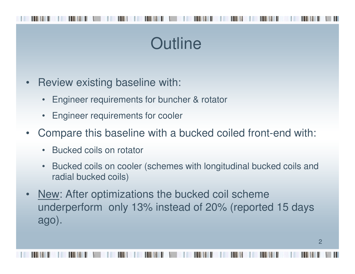## **Outline**

- • Review existing baseline with:
	- •Engineer requirements for buncher & rotator
	- •Engineer requirements for cooler
- $\bullet$  Compare this baseline with a bucked coiled front-end with:
	- •Bucked coils on rotator
	- • Bucked coils on cooler (schemes with longitudinal bucked coils and radial bucked coils)
- • New: After optimizations the bucked coil scheme underperform only 13% instead of 20% (reported 15 days ago).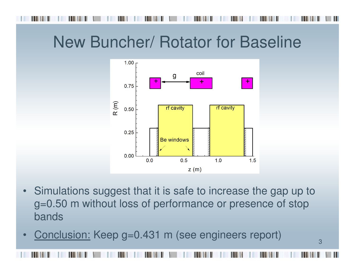### New Buncher/ Rotator for Baseline



 $\bullet$  Simulations suggest that it is safe to increase the gap up to g=0.50 m without loss of performance or presence of stop bands

3

•Conclusion: Keep g=0.431 m (see engineers report)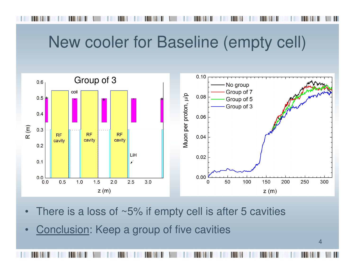#### New cooler for Baseline (empty cell)



- •There is a loss of  $~5\%$  if empty cell is after 5 cavities
- •Conclusion: Keep a group of five cavities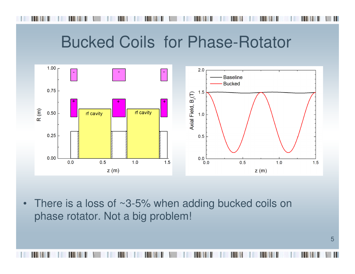#### Bucked Coils for Phase-Rotator



•There is a loss of ~3-5% when adding bucked coils on phase rotator. Not a big problem!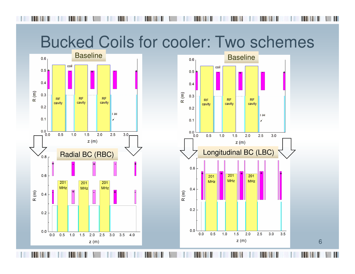#### Bucked Coils for cooler: Two schemes



6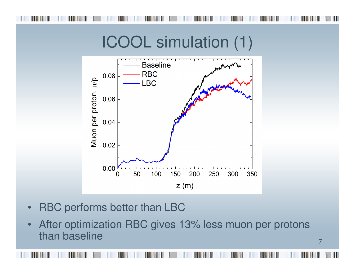

#### ICOOL simulation (1)



- •RBC performs better than LBC
- After optimization RBC gives 13% less muon per protons  $\bullet$ than baseline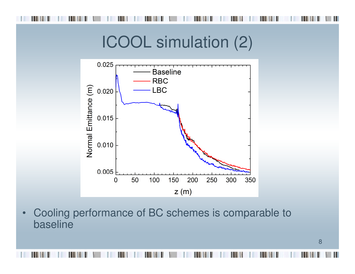#### ICOOL simulation (2)



• Cooling performance of BC schemes is comparable to baseline